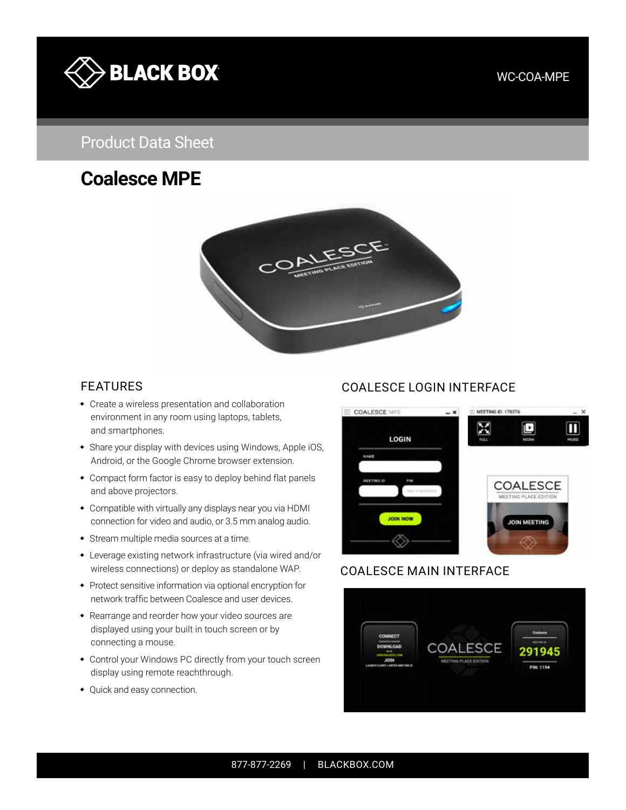

#### WC-COA-MPE

# Product Data Sheet

# **Coalesce MPE**



- Create a wireless presentation and collaboration environment in any room using laptops, tablets, and smartphones.
- Share your display with devices using Windows, Apple iOS, Android, or the Google Chrome browser extension.
- Compact form factor is easy to deploy behind flat panels and above projectors.
- Compatible with virtually any displays near you via HDMI connection for video and audio, or 3.5 mm analog audio.
- Stream multiple media sources at a time.
- Leverage existing network infrastructure (via wired and/or wireless connections) or deploy as standalone WAP.
- Protect sensitive information via optional encryption for network traffic between Coalesce and user devices.
- Rearrange and reorder how your video sources are displayed using your built in touch screen or by connecting a mouse.
- Control your Windows PC directly from your touch screen display using remote reachthrough.
- Quick and easy connection.

## FEATURES COALESCE LOGIN INTERFACE



#### COALESCE MAIN INTERFACE

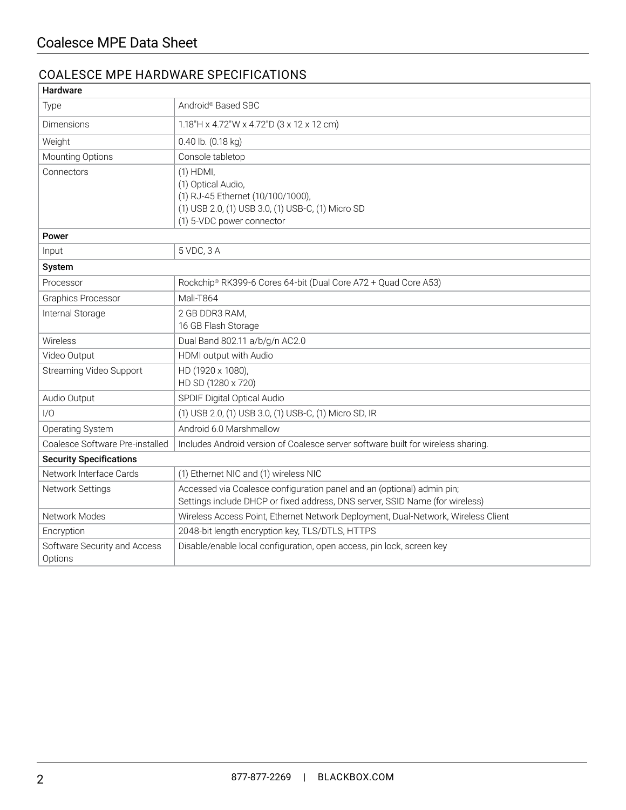## COALESCE MPE HARDWARE SPECIFICATIONS

| Hardware                                |                                                                                                                                                          |  |  |
|-----------------------------------------|----------------------------------------------------------------------------------------------------------------------------------------------------------|--|--|
| Type                                    | Android® Based SBC                                                                                                                                       |  |  |
| Dimensions                              | 1.18"H x 4.72"W x 4.72"D (3 x 12 x 12 cm)                                                                                                                |  |  |
| Weight                                  | 0.40 lb. (0.18 kg)                                                                                                                                       |  |  |
| Mounting Options                        | Console tabletop                                                                                                                                         |  |  |
| Connectors                              | $(1)$ HDMI,<br>(1) Optical Audio,<br>(1) RJ-45 Ethernet (10/100/1000),<br>(1) USB 2.0, (1) USB 3.0, (1) USB-C, (1) Micro SD<br>(1) 5-VDC power connector |  |  |
| Power                                   |                                                                                                                                                          |  |  |
| Input                                   | 5 VDC, 3 A                                                                                                                                               |  |  |
| System                                  |                                                                                                                                                          |  |  |
| Processor                               | Rockchip® RK399-6 Cores 64-bit (Dual Core A72 + Quad Core A53)                                                                                           |  |  |
| <b>Graphics Processor</b>               | Mali-T864                                                                                                                                                |  |  |
| Internal Storage                        | 2 GB DDR3 RAM,<br>16 GB Flash Storage                                                                                                                    |  |  |
| Wireless                                | Dual Band 802.11 a/b/g/n AC2.0                                                                                                                           |  |  |
| Video Output                            | HDMI output with Audio                                                                                                                                   |  |  |
| <b>Streaming Video Support</b>          | HD (1920 x 1080),<br>HD SD (1280 x 720)                                                                                                                  |  |  |
| Audio Output                            | SPDIF Digital Optical Audio                                                                                                                              |  |  |
| 1/0                                     | (1) USB 2.0, (1) USB 3.0, (1) USB-C, (1) Micro SD, IR                                                                                                    |  |  |
| Operating System                        | Android 6.0 Marshmallow                                                                                                                                  |  |  |
| Coalesce Software Pre-installed         | Includes Android version of Coalesce server software built for wireless sharing.                                                                         |  |  |
| <b>Security Specifications</b>          |                                                                                                                                                          |  |  |
| Network Interface Cards                 | (1) Ethernet NIC and (1) wireless NIC                                                                                                                    |  |  |
| Network Settings                        | Accessed via Coalesce configuration panel and an (optional) admin pin;<br>Settings include DHCP or fixed address, DNS server, SSID Name (for wireless)   |  |  |
| Network Modes                           | Wireless Access Point, Ethernet Network Deployment, Dual-Network, Wireless Client                                                                        |  |  |
| Encryption                              | 2048-bit length encryption key, TLS/DTLS, HTTPS                                                                                                          |  |  |
| Software Security and Access<br>Options | Disable/enable local configuration, open access, pin lock, screen key                                                                                    |  |  |